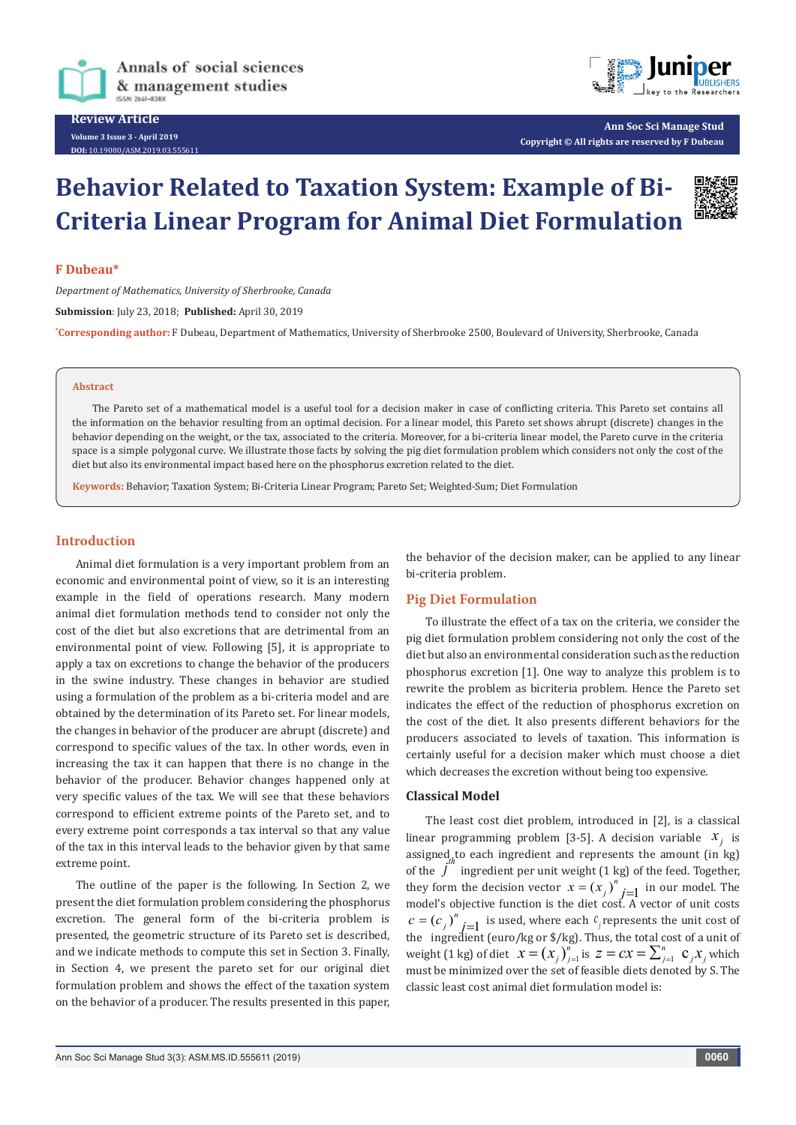



**Ann Soc Sci Manage Stud Copyright © All rights are reserved by F Dubeau**

# **Behavior Related to Taxation System: Example of Bi-Criteria Linear Program for Animal Diet Formulation**



## **F Dubeau\***

*Department of Mathematics, University of Sherbrooke, Canada* **Submission**: July 23, 2018; **Published:** April 30, 2019 **\* Corresponding author:** F Dubeau, Department of Mathematics, University of Sherbrooke 2500, Boulevard of University, Sherbrooke, Canada

#### **Abstract**

The Pareto set of a mathematical model is a useful tool for a decision maker in case of conflicting criteria. This Pareto set contains all the information on the behavior resulting from an optimal decision. For a linear model, this Pareto set shows abrupt (discrete) changes in the behavior depending on the weight, or the tax, associated to the criteria. Moreover, for a bi-criteria linear model, the Pareto curve in the criteria space is a simple polygonal curve. We illustrate those facts by solving the pig diet formulation problem which considers not only the cost of the diet but also its environmental impact based here on the phosphorus excretion related to the diet.

**Keywords:** Behavior; Taxation System; Bi-Criteria Linear Program; Pareto Set; Weighted-Sum; Diet Formulation

## **Introduction**

Animal diet formulation is a very important problem from an economic and environmental point of view, so it is an interesting example in the field of operations research. Many modern animal diet formulation methods tend to consider not only the cost of the diet but also excretions that are detrimental from an environmental point of view. Following [5], it is appropriate to apply a tax on excretions to change the behavior of the producers in the swine industry. These changes in behavior are studied using a formulation of the problem as a bi-criteria model and are obtained by the determination of its Pareto set. For linear models, the changes in behavior of the producer are abrupt (discrete) and correspond to specific values of the tax. In other words, even in increasing the tax it can happen that there is no change in the behavior of the producer. Behavior changes happened only at very specific values of the tax. We will see that these behaviors correspond to efficient extreme points of the Pareto set, and to every extreme point corresponds a tax interval so that any value of the tax in this interval leads to the behavior given by that same extreme point.

The outline of the paper is the following. In Section 2, we present the diet formulation problem considering the phosphorus excretion. The general form of the bi-criteria problem is presented, the geometric structure of its Pareto set is described, and we indicate methods to compute this set in Section 3. Finally, in Section 4, we present the pareto set for our original diet formulation problem and shows the effect of the taxation system on the behavior of a producer. The results presented in this paper, the behavior of the decision maker, can be applied to any linear bi-criteria problem.

## **Pig Diet Formulation**

To illustrate the effect of a tax on the criteria, we consider the pig diet formulation problem considering not only the cost of the diet but also an environmental consideration such as the reduction phosphorus excretion [1]. One way to analyze this problem is to rewrite the problem as bicriteria problem. Hence the Pareto set indicates the effect of the reduction of phosphorus excretion on the cost of the diet. It also presents different behaviors for the producers associated to levels of taxation. This information is certainly useful for a decision maker which must choose a diet which decreases the excretion without being too expensive.

## **Classical Model**

The least cost diet problem, introduced in [2], is a classical linear programming problem [3-5]. A decision variable  $x_i$  is assigned to each ingredient and represents the amount (in kg) of the  $j^h$  ingredient per unit weight (1 kg) of the feed. Together, they form the decision vector  $x = (x_j)^n j=1$  in our model. The model's objective function is the diet cost. A vector of unit costs  $c = (c_j)^n$  *j*=1 is used, where each  $c_j$  represents the unit cost of the ingredient (euro/kg or \$/kg). Thus, the total cost of a unit of weight (1 kg) of diet  $x = (x_j)_{j=1}^n$  is  $z = cx = \sum_{j=1}^n c_j x_j$  which must be minimized over the set of feasible diets denoted by S. The classic least cost animal diet formulation model is: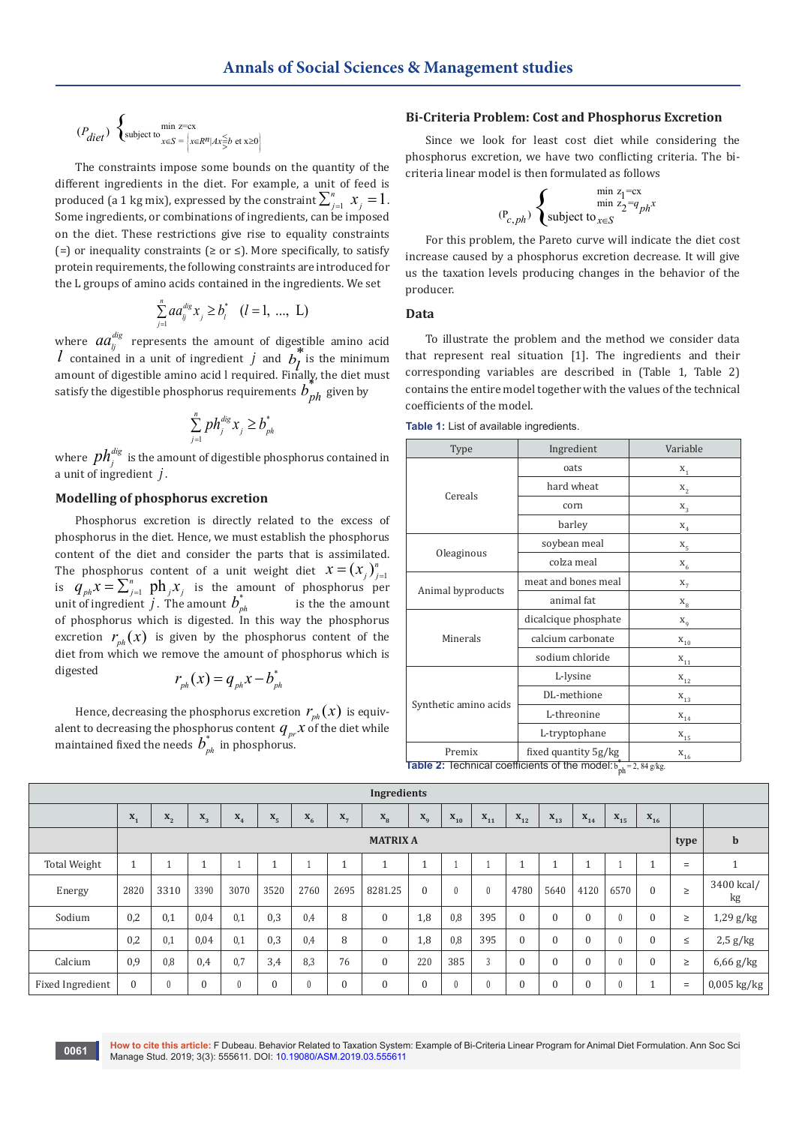$$
(P_{\text{diet}}) \left\{ \text{subject to} \max_{x \in S} = \left\{ x \in R^n | Ax \leq b \text{ et } x \geq 0 \right\} \right\}
$$

The constraints impose some bounds on the quantity of the different ingredients in the diet. For example, a unit of feed is produced (a 1 kg mix), expressed by the constraint  $\sum_{j=1}^{n} x_j = 1$  . Some ingredients, or combinations of ingredients, can be imposed on the diet. These restrictions give rise to equality constraints (=) or inequality constraints ( $\geq$  or  $\leq$ ). More specifically, to satisfy protein requirements, the following constraints are introduced for the L groups of amino acids contained in the ingredients. We set

$$
\sum_{j=1}^{n} a a_{ij}^{dis} x_j \ge b_i^* \quad (l = 1, \dots, L)
$$

where  $aa_{ij}^{dig}$  represents the amount of digestible amino acid *l* contained in a unit of ingredient *j* and  $b_l^*$  is the minimum<br>negative of directible engine acid l required. Finally, the dist must amount of digestible amino acid l required. Finally, the diet must satisfy the digestible phosphorus requirements  $b_{ph}^*$  given by

$$
\sum_{j=1}^n p h_j^{dig} x_j \geq b_{ph}^*
$$

where  $\,ph_j^{dig}\,$  is the amount of digestible phosphorus contained in a unit of ingredient *j* .

#### **Modelling of phosphorus excretion**

Phosphorus excretion is directly related to the excess of phosphorus in the diet. Hence, we must establish the phosphorus content of the diet and consider the parts that is assimilated. The phosphorus content of a unit weight diet  $x = (x_j)_{j=1}^n$ is  $q_{ph} x = \sum_{j=1}^{n} ph_j x_j$  is the amount of phosphorus per unit of ingredient *j*. The amount  $b_{nk}$ *is the the amount* of phosphorus which is digested. In this way the phosphorus excretion  $r_{nk}(x)$  is given by the phosphorus content of the diet from which we remove the amount of phosphorus which is digested  $r_{ph}(x) = q_{ph}x - b_{ph}^*$ 

$$
r_{\scriptscriptstyle ph}(x) = q_{\scriptscriptstyle ph}x - b_{\scriptscriptstyle ph}
$$

Hence, decreasing the phosphorus excretion  $r_{ph}(x)$  is equivalent to decreasing the phosphorus content  $q_{pr}^{\prime} x$  of the diet while maintained fixed the needs  $b_{ph}^*$  in phosphorus.

## **Bi-Criteria Problem: Cost and Phosphorus Excretion**

Since we look for least cost diet while considering the phosphorus excretion, we have two conflicting criteria. The bicriteria linear model is then formulated as follows

$$
(\mathbf{P}_{c,ph})\left\{\begin{matrix} \min\limits_{z_1=\mathrm{cx}}\\ \min\limits_{z_2=q_{ph}}\\ \text{subject to}_{x\in S}\end{matrix}\right.
$$

For this problem, the Pareto curve will indicate the diet cost increase caused by a phosphorus excretion decrease. It will give us the taxation levels producing changes in the behavior of the producer.

**Data**

To illustrate the problem and the method we consider data that represent real situation [1]. The ingredients and their corresponding variables are described in (Table 1, Table 2) contains the entire model together with the values of the technical coefficients of the model.

**Table 1:** List of available ingredients.

| Type                                                                    | Ingredient           | Variable |  |  |  |  |  |  |  |
|-------------------------------------------------------------------------|----------------------|----------|--|--|--|--|--|--|--|
|                                                                         | oats                 | $X_1$    |  |  |  |  |  |  |  |
| Cereals                                                                 | hard wheat           | $X_{2}$  |  |  |  |  |  |  |  |
|                                                                         | corn                 | $X_3$    |  |  |  |  |  |  |  |
|                                                                         | barley               | $X_4$    |  |  |  |  |  |  |  |
|                                                                         | soybean meal         | $X_{5}$  |  |  |  |  |  |  |  |
| Oleaginous                                                              | colza meal           | $X_{6}$  |  |  |  |  |  |  |  |
|                                                                         | meat and bones meal  | $X_{7}$  |  |  |  |  |  |  |  |
| Animal byproducts                                                       | animal fat           | $X_{8}$  |  |  |  |  |  |  |  |
|                                                                         | dicalcique phosphate | $X_q$    |  |  |  |  |  |  |  |
| Minerals                                                                | calcium carbonate    | $X_{10}$ |  |  |  |  |  |  |  |
|                                                                         | sodium chloride      | $X_{11}$ |  |  |  |  |  |  |  |
|                                                                         | L-lysine             | $X_{12}$ |  |  |  |  |  |  |  |
|                                                                         | DL-methione          | $X_{13}$ |  |  |  |  |  |  |  |
| Synthetic amino acids                                                   | L-threonine          | $X_{14}$ |  |  |  |  |  |  |  |
|                                                                         | L-tryptophane        | $X_{15}$ |  |  |  |  |  |  |  |
| Premix                                                                  | fixed quantity 5g/kg | $X_{16}$ |  |  |  |  |  |  |  |
| Table 2: Technical coefficients of the model: $b_{ph}^* = 2$ , 84 g/kg. |                      |          |  |  |  |  |  |  |  |

| Ingredients         |                  |                  |              |          |              |                   |         |              |                           |                            |                                       |          |              |                                       |                                       |             |        |                     |
|---------------------|------------------|------------------|--------------|----------|--------------|-------------------|---------|--------------|---------------------------|----------------------------|---------------------------------------|----------|--------------|---------------------------------------|---------------------------------------|-------------|--------|---------------------|
|                     | $\mathbf{x}_{1}$ | $\mathbf{x}_{2}$ | $X_3$        | $X_4$    | $X_{5}$      | $\mathbf{x}_{_6}$ | $X_{7}$ | $X_{8}$      | $\mathbf{X}_{\mathbf{q}}$ | $\mathbf{x}_{\texttt{10}}$ | $\mathbf{x}_{\scriptscriptstyle{11}}$ | $X_{12}$ | $X_{13}$     | $\mathbf{x}_{\scriptscriptstyle{14}}$ | $\mathbf{x}_{\scriptscriptstyle{15}}$ | $X_{16}$    |        |                     |
|                     | <b>MATRIX A</b>  |                  |              |          |              |                   |         |              |                           |                            |                                       |          |              |                                       | type                                  | $\mathbf b$ |        |                     |
| <b>Total Weight</b> | $\overline{A}$   |                  |              |          |              |                   |         |              | и                         |                            |                                       |          | ٠            |                                       |                                       |             | $=$    |                     |
| Energy              | 2820             | 3310             | 3390         | 3070     | 3520         | 2760              | 2695    | 8281.25      | 0                         |                            | $\theta$                              | 4780     | 5640         | 4120                                  | 6570                                  | $\Omega$    | $\geq$ | 3400 kcal/<br>kg    |
| Sodium              | 0,2              | 0,1              | 0,04         | 0,1      | 0,3          | 0,4               | 8       | $\mathbf{0}$ | 1,8                       | 0,8                        | 395                                   | $\Omega$ | $\Omega$     | $\Omega$                              | $\theta$                              | $\Omega$    | $\geq$ | $1,29$ g/kg         |
|                     | 0,2              | 0,1              | 0,04         | 0,1      | 0,3          | 0,4               | 8       | $\mathbf{0}$ | 1,8                       | 0,8                        | 395                                   | $\theta$ | $\Omega$     | $\Omega$                              | $\theta$                              | $\Omega$    | $\leq$ | $2.5$ g/kg          |
| Calcium             | 0,9              | 0,8              | 0,4          | 0,7      | 3,4          | 8,3               | 76      | $\mathbf{0}$ | 220                       | 385                        | 3                                     | $\Omega$ | $\Omega$     | $\theta$                              | $\theta$                              | $\Omega$    | $\geq$ | $6,66 \text{ g/kg}$ |
| Fixed Ingredient    | $\mathbf{0}$     | $\mathbf{0}$     | $\mathbf{0}$ | $\theta$ | $\mathbf{0}$ | $\theta$          | 0       | $\mathbf{0}$ | $\mathbf{0}$              |                            | $\theta$                              | $\Omega$ | $\mathbf{0}$ | $\mathbf{0}$                          | $\theta$                              |             | $=$    | $0,005$ kg/kg       |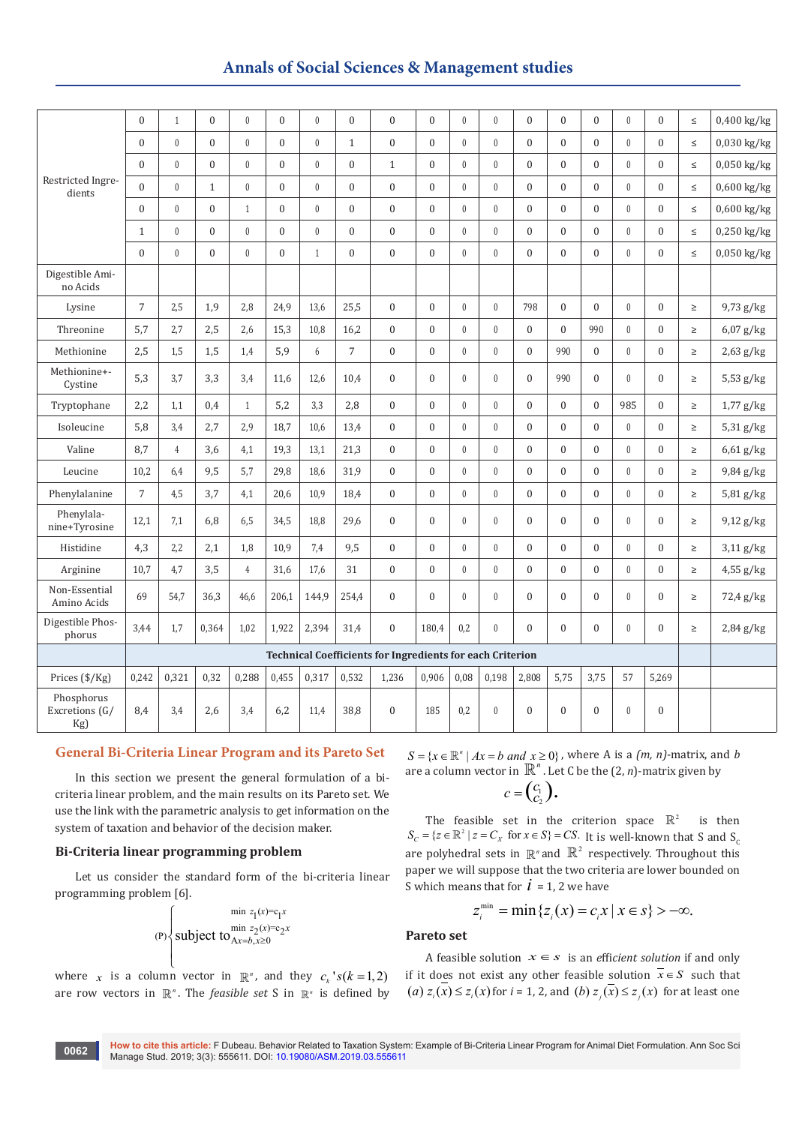# **Annals of Social Sciences & Management studies**

|                                     | $\mathbf{0}$   | $\mathbf{1}$   | $\overline{0}$ | $\mathbf{0}$   | $\mathbf{0}$   | $\mathbf{0}$ | $\overline{0}$ | $\boldsymbol{0}$                                                 | $\boldsymbol{0}$ | $\theta$     | $\mathbf{0}$     | $\overline{0}$   | $\mathbf{0}$ | $\mathbf{0}$     | $\mathbf{0}$     | $\overline{0}$   | $\leq$ | 0,400 kg/kg   |
|-------------------------------------|----------------|----------------|----------------|----------------|----------------|--------------|----------------|------------------------------------------------------------------|------------------|--------------|------------------|------------------|--------------|------------------|------------------|------------------|--------|---------------|
|                                     | $\mathbf{0}$   | $\mathbf{0}$   | $\overline{0}$ | $\theta$       | $\mathbf{0}$   | $\mathbf{0}$ | $\mathbf{1}$   | $\boldsymbol{0}$                                                 | $\boldsymbol{0}$ | $\mathbf{0}$ | $\mathbf{0}$     | $\overline{0}$   | $\mathbf{0}$ | $\theta$         | $\mathbf{0}$     | $\theta$         | $\leq$ | 0,030 kg/kg   |
|                                     | $\theta$       | $\mathbf{0}$   | $\overline{0}$ | $\theta$       | $\theta$       | $\mathbf{0}$ | $\overline{0}$ | $\mathbf{1}$                                                     | $\mathbf{0}$     | $\theta$     | $\mathbf{0}$     | $\overline{0}$   | $\theta$     | $\theta$         | $\mathbf{0}$     | $\Omega$         | $\leq$ | $0,050$ kg/kg |
| Restricted Ingre-<br>dients         | $\mathbf{0}$   | $\mathbf{0}$   | $\mathbf{1}$   | $\mathbf{0}$   | $\overline{0}$ | $\mathbf{0}$ | $\overline{0}$ | $\boldsymbol{0}$                                                 | $\boldsymbol{0}$ | $\mathbf{0}$ | $\mathbf{0}$     | $\overline{0}$   | $\mathbf{0}$ | $\mathbf{0}$     | $\mathbf{0}$     | $\overline{0}$   | $\leq$ | $0,600$ kg/kg |
|                                     | $\theta$       | $\mathbf{0}$   | $\overline{0}$ | $\mathbf{1}$   | $\Omega$       | $\mathbf{0}$ | $\overline{0}$ | $\boldsymbol{0}$                                                 | $\mathbf{0}$     | $\theta$     | $\theta$         | $\overline{0}$   | $\theta$     | $\mathbf{0}$     | $\mathbf{0}$     | $\theta$         | $\leq$ | $0,600$ kg/kg |
|                                     | $\mathbf{1}$   | $\mathbf{0}$   | $\overline{0}$ | $\mathbf{0}$   | $\mathbf{0}$   | $\mathbf{0}$ | $\overline{0}$ | $\boldsymbol{0}$                                                 | $\mathbf{0}$     | $\mathbf{0}$ | $\theta$         | $\overline{0}$   | $\mathbf{0}$ | $\mathbf{0}$     | $\mathbf{0}$     | $\mathbf{0}$     | $\leq$ | $0,250$ kg/kg |
|                                     | $\Omega$       | $\mathbf{0}$   | $\overline{0}$ | $\mathbf{0}$   | $\overline{0}$ | $\mathbf{1}$ | $\overline{0}$ | $\boldsymbol{0}$                                                 | $\boldsymbol{0}$ | $\mathbf{0}$ | $\mathbf{0}$     | $\overline{0}$   | $\mathbf{0}$ | $\mathbf{0}$     | $\mathbf{0}$     | $\mathbf{0}$     | $\leq$ | 0,050 kg/kg   |
| Digestible Ami-<br>no Acids         |                |                |                |                |                |              |                |                                                                  |                  |              |                  |                  |              |                  |                  |                  |        |               |
| Lysine                              | $\overline{7}$ | 2,5            | 1,9            | 2,8            | 24,9           | 13,6         | 25,5           | $\mathbf{0}$                                                     | $\mathbf{0}$     | $\theta$     | $\theta$         | 798              | $\mathbf{0}$ | $\mathbf{0}$     | $\mathbf{0}$     | $\mathbf{0}$     | $\geq$ | 9,73 g/kg     |
| Threonine                           | 5,7            | 2,7            | 2,5            | 2,6            | 15,3           | 10,8         | 16,2           | $\boldsymbol{0}$                                                 | $\boldsymbol{0}$ | $\mathbf{0}$ | $\theta$         | $\overline{0}$   | $\theta$     | 990              | $\mathbf{0}$     | $\mathbf{0}$     | $\geq$ | $6,07$ g/kg   |
| Methionine                          | 2,5            | 1,5            | 1,5            | 1,4            | 5,9            | 6            | $\overline{7}$ | $\boldsymbol{0}$                                                 | $\boldsymbol{0}$ | $\bf{0}$     | $\theta$         | $\overline{0}$   | 990          | $\boldsymbol{0}$ | $\mathbf{0}$     | $\overline{0}$   | $\geq$ | $2,63$ g/kg   |
| Methionine+-<br>Cystine             | 5,3            | 3,7            | 3,3            | 3,4            | 11.6           | 12,6         | 10,4           | $\mathbf{0}$                                                     | $\mathbf{0}$     | $\theta$     | $\theta$         | $\mathbf{0}$     | 990          | $\Omega$         | $\mathbf{0}$     | $\Omega$         | $\geq$ | $5,53$ g/kg   |
| Tryptophane                         | 2,2            | 1,1            | 0,4            | $\mathbf{1}$   | 5,2            | 3,3          | 2,8            | $\boldsymbol{0}$                                                 | $\boldsymbol{0}$ | $\mathbf{0}$ | $\mathbf{0}$     | $\overline{0}$   | $\mathbf{0}$ | $\mathbf{0}$     | 985              | $\overline{0}$   | $\geq$ | $1,77$ g/kg   |
| Isoleucine                          | 5,8            | 3,4            | 2,7            | 2.9            | 18,7           | 10,6         | 13,4           | $\boldsymbol{0}$                                                 | $\boldsymbol{0}$ | $\theta$     | $\theta$         | $\overline{0}$   | $\mathbf{0}$ | $\mathbf{0}$     | $\mathbf{0}$     | $\mathbf{0}$     | $\geq$ | $5,31$ g/kg   |
| Valine                              | 8,7            | $\overline{4}$ | 3,6            | 4,1            | 19,3           | 13,1         | 21,3           | $\boldsymbol{0}$                                                 | $\boldsymbol{0}$ | $\mathbf{0}$ | $\theta$         | $\overline{0}$   | $\mathbf{0}$ | $\mathbf{0}$     | $\mathbf{0}$     | $\mathbf{0}$     | $\geq$ | $6,61$ g/kg   |
| Leucine                             | 10,2           | 6,4            | 9,5            | 5,7            | 29,8           | 18,6         | 31,9           | $\boldsymbol{0}$                                                 | $\boldsymbol{0}$ | $\mathbf{0}$ | $\theta$         | $\overline{0}$   | $\mathbf{0}$ | $\mathbf{0}$     | $\mathbf{0}$     | $\mathbf{0}$     | $\geq$ | 9,84 g/kg     |
| Phenylalanine                       | $\sqrt{ }$     | 4,5            | 3,7            | 4,1            | 20,6           | 10,9         | 18,4           | $\boldsymbol{0}$                                                 | $\boldsymbol{0}$ | $\mathbf{0}$ | $\boldsymbol{0}$ | $\boldsymbol{0}$ | $\mathbf{0}$ | $\mathbf{0}$     | $\mathbf{0}$     | $\mathbf{0}$     | $\geq$ | 5,81 g/kg     |
| Phenylala-<br>nine+Tyrosine         | 12,1           | 7,1            | 6,8            | 6,5            | 34,5           | 18,8         | 29,6           | $\mathbf{0}$                                                     | $\mathbf{0}$     | $\theta$     | $\theta$         | $\overline{0}$   | $\Omega$     | $\Omega$         | $\mathbf{0}$     | $\Omega$         | $\geq$ | $9,12$ g/kg   |
| Histidine                           | 4,3            | 2,2            | 2,1            | 1,8            | 10,9           | 7,4          | 9,5            | $\boldsymbol{0}$                                                 | $\boldsymbol{0}$ | $\bf{0}$     | $\theta$         | $\overline{0}$   | $\mathbf{0}$ | $\mathbf{0}$     | $\mathbf{0}$     | $\overline{0}$   | $\geq$ | $3,11$ g/kg   |
| Arginine                            | 10,7           | 4,7            | 3,5            | $\overline{4}$ | 31,6           | 17,6         | 31             | $\boldsymbol{0}$                                                 | $\boldsymbol{0}$ | $\bf{0}$     | $\boldsymbol{0}$ | $\boldsymbol{0}$ | $\mathbf{0}$ | $\boldsymbol{0}$ | $\mathbf{0}$     | $\overline{0}$   | $\geq$ | $4,55$ g/kg   |
| Non-Essential<br>Amino Acids        | 69             | 54,7           | 36,3           | 46,6           | 206,1          | 144,9        | 254,4          | $\boldsymbol{0}$                                                 | $\mathbf{0}$     | $\theta$     | $\theta$         | $\overline{0}$   | $\mathbf{0}$ | $\mathbf{0}$     | $\mathbf{0}$     | $\mathbf{0}$     | $\geq$ | 72,4 g/kg     |
| Digestible Phos-<br>phorus          | 3,44           | 1,7            | 0,364          | 1,02           | 1,922          | 2,394        | 31,4           | $\boldsymbol{0}$                                                 | 180,4            | 0,2          | $\mathbf{0}$     | $\overline{0}$   | $\theta$     | $\mathbf{0}$     | $\mathbf{0}$     | $\overline{0}$   | $\geq$ | $2,84$ g/kg   |
|                                     |                |                |                |                |                |              |                | <b>Technical Coefficients for Ingredients for each Criterion</b> |                  |              |                  |                  |              |                  |                  |                  |        |               |
| Prices (\$/Kg)                      | 0,242          | 0,321          | 0,32           | 0,288          | 0,455          | 0,317        | 0,532          | 1,236                                                            | 0,906            | 0,08         | 0,198            | 2,808            | 5,75         | 3,75             | 57               | 5,269            |        |               |
| Phosphorus<br>Excretions (G/<br>Kg) | 8,4            | 3,4            | 2,6            | 3,4            | 6,2            | 11,4         | 38,8           | $\boldsymbol{0}$                                                 | 185              | 0,2          | $\boldsymbol{0}$ | $\mathbf{0}$     | $\mathbf{0}$ | $\boldsymbol{0}$ | $\boldsymbol{0}$ | $\boldsymbol{0}$ |        |               |
|                                     |                |                |                |                |                |              |                |                                                                  |                  |              |                  |                  |              |                  |                  |                  |        |               |

## **General Bi-Criteria Linear Program and its Pareto Set**

In this section we present the general formulation of a bicriteria linear problem, and the main results on its Pareto set. We use the link with the parametric analysis to get information on the system of taxation and behavior of the decision maker.

## **Bi-Criteria linear programming problem**

 $\mathfrak{r}$ 

Let us consider the standard form of the bi-criteria linear programming problem [6].

$$
(P)\n\begin{cases}\n\min z_1(x)=c_1x \\
\text{subject to } \n\min z_2(x)=c_2x \\
\text{subject to } \n\max z_1(x)=c_1x\n\end{cases}
$$

where *x* is a column vector in  $\mathbb{R}^n$ , and they  $c_k$ 's( $k = 1, 2$ ) are row vectors in  $\mathbb{R}^n$ . The *feasible set* S in  $\mathbb{R}^n$  is defined by

 ${S} = \{x \in \mathbb{R}^n \mid Ax = b \text{ and } x \ge 0\}$ , where A is a  $(m, n)$ -matrix, and *b* are a column vector in  $\mathbb{R}^n$ . Let C be the  $(2, n)$ -matrix given by

$$
c=\begin{pmatrix}c_1\\c_2\end{pmatrix}.
$$

The feasible set in the criterion space  $\mathbb{R}^2$  is then  $S_c = \{z \in \mathbb{R}^2 \mid z = C_x \text{ for } x \in S\} = CS$ . It is well-known that S and S<sub>c</sub> are polyhedral sets in  $\mathbb{R}^n$  and  $\mathbb{R}^2$  respectively. Throughout this paper we will suppose that the two criteria are lower bounded on S which means that for  $\hat{i} = 1$ , 2 we have

$$
z_i^{\min} = \min \{ z_i(x) = c_i x \mid x \in s \} > -\infty.
$$

## **Pareto set**

A feasible solution  $x \in s$  is an *efficient solution* if and only if it does not exist any other feasible solution  $\bar{x} \in S$  such that (a)  $z_i(x) \le z_i(x)$  for  $i = 1, 2$ , and (b)  $z_i(x) \le z_i(x)$  for at least one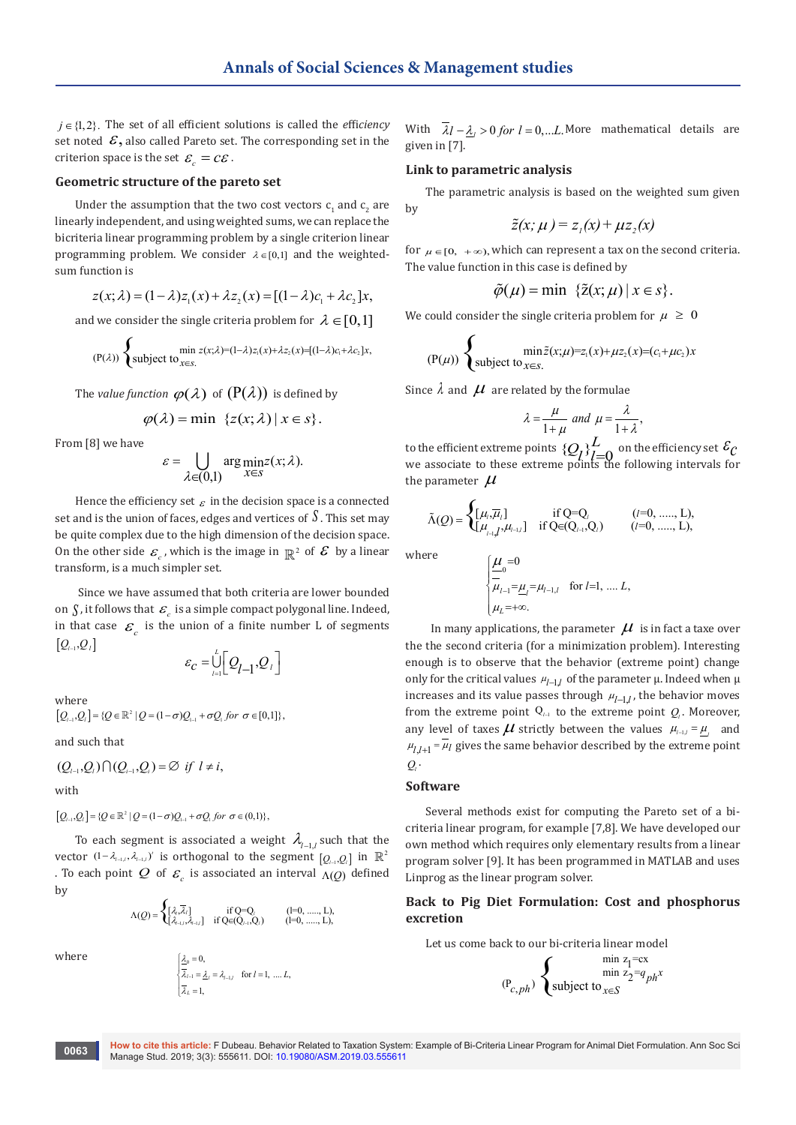*j* ∈{1, 2}. The set of all efficient solutions is called the *e*ffi*ciency* set noted  $\mathcal{E}$ , also called Pareto set. The corresponding set in the criterion space is the set  $\varepsilon_c = c \varepsilon$ .

## **Geometric structure of the pareto set**

Under the assumption that the two cost vectors  $\mathsf{c}_\textsf{1}$  and  $\mathsf{c}_\textsf{2}$  are linearly independent, and using weighted sums, we can replace the bicriteria linear programming problem by a single criterion linear programming problem. We consider  $\lambda \in [0,1]$  and the weightedsum function is

$$
z(x; \lambda) = (1 - \lambda)z_1(x) + \lambda z_2(x) = [(1 - \lambda)c_1 + \lambda c_2]x,
$$

and we consider the single criteria problem for  $\lambda \in [0,1]$ 

$$
(P(\lambda))\left\{\text{subject to}_{x\in S.}\right.\\\min z(x;\lambda)=(1-\lambda)z_1(x)+\lambda z_2(x)=[(1-\lambda)c_1+\lambda c_2]x,
$$

The *value function*  $\varphi(\lambda)$  of  $(P(\lambda))$  is defined by

$$
\varphi(\lambda) = \min \ \{z(x;\lambda) \,|\, x \in s\}.
$$

From [8] we have

$$
\varepsilon = \bigcup_{\lambda \in (0,1)} \arg \min_{x \in S} z(x; \lambda).
$$

Hence the efficiency set  $\varepsilon$  in the decision space is a connected set and is the union of faces, edges and vertices of *S* . This set may be quite complex due to the high dimension of the decision space. On the other side  $\varepsilon$ , which is the image in  $\mathbb{R}^2$  of  $\mathcal E$  by a linear transform, is a much simpler set.

 Since we have assumed that both criteria are lower bounded on  $\int$ , it follows that  $\mathcal{E}_e$  is a simple compact polygonal line. Indeed, in that case  $\mathcal{E}_{c}$  is the union of a finite number L of segments  $[Q_{l-1}, Q_l]$ 

$$
\varepsilon_c = \bigcup_{l=1}^L \bigg[ Q_{l-1}, Q_l \bigg]
$$

where

 $[Q_{l-1}, Q_l] = \{ Q \in \mathbb{R}^2 \mid Q = (1 - \sigma)Q_{l-1} + \sigma Q_l \text{ for } \sigma \in [0,1] \},$ 

and such that

$$
(Q_{i-1},Q_i)\cap (Q_{i-1},Q_i)=\emptyset \ \ if \ \ l\neq i,
$$

with

 $[Q_{l-1}, Q_l] = \{ Q \in \mathbb{R}^2 \mid Q = (1 - \sigma)Q_{l-1} + \sigma Q_l \text{ for } \sigma \in (0,1) \},$ 

To each segment is associated a weight  $\lambda_{l-1,l}$  such that the vector  $(1 - \lambda_{l-1,l}, \lambda_{l-1,l})'$  is orthogonal to the segment  $[Q_{l-1}, Q_l]$  in  $\mathbb{R}^2$ . To each point *Q* of  $\varepsilon$  is associated an interval  $\Lambda$ (*Q*) defined by

$$
\Lambda(Q)=\begin{cases} [\lambda,\overline\lambda_i]\\ [\lambda_{i-1},\lambda_{i-1}] & \text{ if } Q\textsf{=Q}_i\\ [\lambda_{i-1},\lambda_{i-1}] & \text{ if } Q\textsf{=Q}_{(i-1)},Q_i) \end{cases} \qquad \text{(l=0, ....., L)},
$$

where

$$
\begin{cases} \frac{\lambda}{\lambda_{l-1}} = 0, \\ \frac{\lambda_{l-1}}{\lambda_{l}} = \frac{\lambda_{l}}{\lambda_{l}} = \lambda_{l-1,l} \quad \text{for } l = 1, \dots, L, \\ 0, \overline{\lambda_{l}} = 1, \end{cases}
$$

With  $\overline{\lambda}$ *l* −  $\lambda$ <sub>*i*</sub> > 0 *for l* = 0,...*L*. More mathematical details are given in [7].

## **Link to parametric analysis**

The parametric analysis is based on the weighted sum given by

$$
\tilde{z}(x;\mu)=z_{1}(x)+\mu z_{2}(x)
$$

for  $\mu \in [0, +\infty)$ , which can represent a tax on the second criteria. The value function in this case is defined by

$$
\tilde{\varphi}(\mu) = \min \ \{\tilde{z}(x;\mu) \,|\, x \in s\}.
$$

We could consider the single criteria problem for  $\mu \geq 0$ 

$$
(P(\mu)) \begin{cases} \min \tilde{z}(x;\mu)=z_1(x)+\mu z_2(x)=(c_1+\mu c_2)x \\ \text{subject to } x \in S. \end{cases}
$$

Since  $\lambda$  and  $\mu$  are related by the formulae

$$
\lambda = \frac{\mu}{1 + \mu} \text{ and } \mu = \frac{\lambda}{1 + \lambda},
$$

to the efficient extreme points  $\{Q_l\}_{l=0}^L$  on the efficiency set  $\mathcal{E}_\mathcal{C}$  we associate to these extreme points the following intervals for the parameter  $\mu$ 

$$
\tilde{\Lambda}(Q) = \begin{cases} [\mu_i, \overline{\mu}_i] & \text{if Q=Q_i} \\ [\mu_{i-1,i}, \mu_{i-1,i}] & \text{if Q=Q_{i-1},Q_i) } \end{cases} \qquad (l = 0, ...., L),
$$

where

$$
\begin{cases}\n\underline{\mu}_{0} = 0 \\
-\frac{\mu_{l-1} - \mu_{l-1,l}}{\mu_{l-1} - \mu_{l-1,l}} & \text{for } l=1, \dots, L, \\
\mu_{L} = +\infty.\n\end{cases}
$$

 enough is to observe that the behavior (extreme point) change In many applications, the parameter  $\mu$  is in fact a taxe over the the second criteria (for a minimization problem). Interesting only for the critical values  $\mu_{l-1,l}$  of the parameter  $\mu$ . Indeed when  $\mu$ increases and its value passes through  $\mu_{l-1,l}$ , the behavior moves from the extreme point  $Q_{\text{}+1}$  to the extreme point  $Q_{\text{l}}$ . Moreover, any level of taxes  $\mu$  strictly between the values  $\mu_{i-1,i} = \mu_i$  and  $\mu$ <sub>*l*,*l*+1</sub> =  $\mu$ *l* gives the same behavior described by the extreme point  $Q_i$ 

#### **Software**

Several methods exist for computing the Pareto set of a bicriteria linear program, for example [7,8]. We have developed our own method which requires only elementary results from a linear program solver [9]. It has been programmed in MATLAB and uses Linprog as the linear program solver.

## **Back to Pig Diet Formulation: Cost and phosphorus excretion**

Let us come back to our bi-criteria linear model

$$
\exp\left\{\n\begin{array}{c}\n\min z_1 = cx \\
\min z_2 = q_{ph}x\n\end{array}\n\right.
$$
\n
$$
(P_{c,ph})
$$
 subject to 
$$
x \in S
$$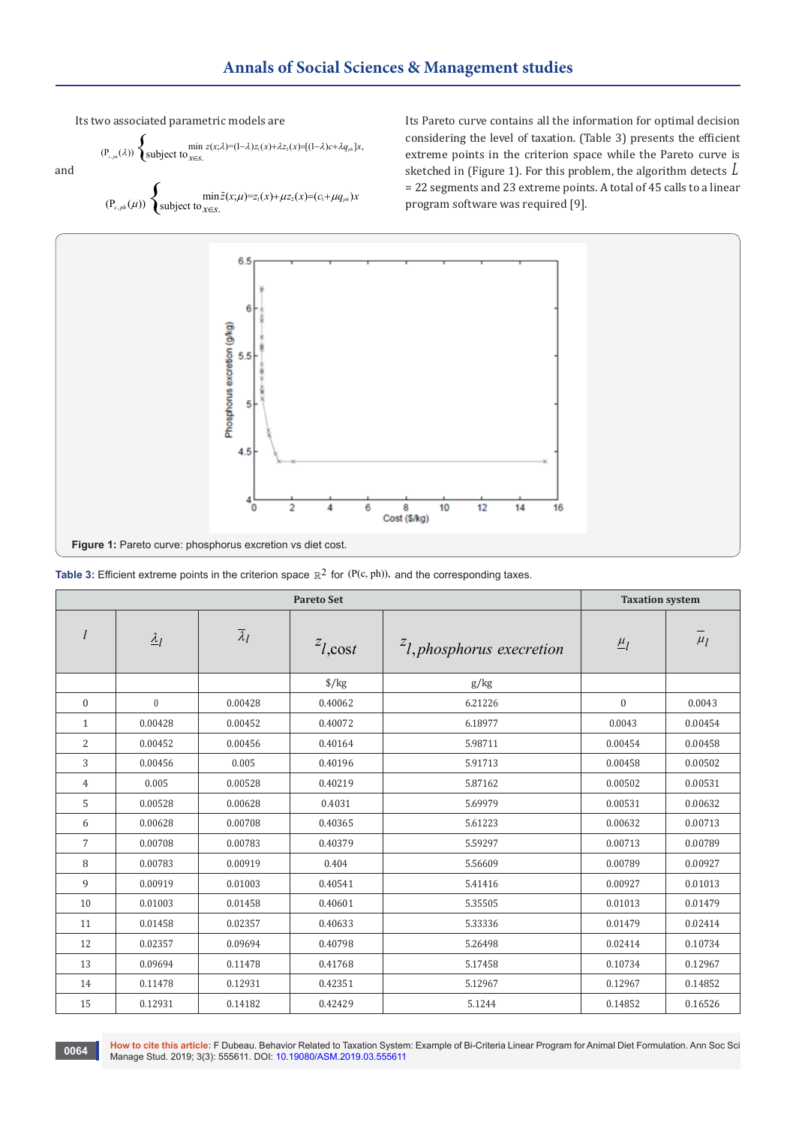Its two associated parametric models are

$$
(P_{c,ph}(\lambda))\begin{cases}\min_{z(x;\lambda)=(1-\lambda)z_1(x)+\lambda z_2(x)=[(1-\lambda)c+\lambda q_{ph}]x,\\ \text{subject to}\_{x\in S}.\end{cases}
$$

 $(P_{c,ph}(\mu))$   $\begin{cases} \min \tilde{z}(x;\mu)=z_1(x)+\mu z_2(x)=(c_1+\mu q_{ph})x \\ \text{subject to } x \in S. \end{cases}$  $\mu$ )  $\begin{cases} \min \tilde{z}(x;\mu)=z_1(x)+\mu z_2(x)=(c_1+\mu z_1) \text{subject to } x \in S. \end{cases}$  $\tilde{z}$ 

Its Pareto curve contains all the information for optimal decision considering the level of taxation. (Table 3) presents the efficient extreme points in the criterion space while the Pareto curve is sketched in (Figure 1). For this problem, the algorithm detects *L* = 22 segments and 23 extreme points. A total of 45 calls to a linear program software was required [9].



| <b>Table 3:</b> Efficient extreme points in the criterion space $\mathbb{R}^2$ for (P(c, ph)), and the corresponding taxes. |  |
|-----------------------------------------------------------------------------------------------------------------------------|--|
|-----------------------------------------------------------------------------------------------------------------------------|--|

|                |                               | <b>Taxation system</b> |                      |                              |                     |         |
|----------------|-------------------------------|------------------------|----------------------|------------------------------|---------------------|---------|
|                | $\frac{\lambda_l}{\lambda_l}$ | $\overline{\lambda}_l$ | $z_{l, \text{cost}}$ | $zl$ , phosphorus execretion | $\underline{\mu}_l$ | $\mu_l$ |
|                |                               |                        | $\frac{\sqrt{2}}{2}$ | g/kg                         |                     |         |
| $\mathbf{0}$   | $\mathbf{0}$                  | 0.00428                | 0.40062              | 6.21226                      | $\mathbf{0}$        | 0.0043  |
| $\mathbf{1}$   | 0.00428                       | 0.00452                | 0.40072              | 6.18977                      | 0.0043              | 0.00454 |
| $\overline{2}$ | 0.00452                       | 0.00456                | 0.40164              | 5.98711                      | 0.00454             | 0.00458 |
| 3              | 0.00456                       | 0.005                  | 0.40196              | 5.91713                      | 0.00458             | 0.00502 |
| 4              | 0.005                         | 0.00528                | 0.40219              | 5.87162                      | 0.00502             | 0.00531 |
| 5              | 0.00528                       | 0.00628                | 0.4031               | 5.69979                      | 0.00531             | 0.00632 |
| 6              | 0.00628                       | 0.00708                | 0.40365              | 5.61223                      | 0.00632             | 0.00713 |
| $\overline{7}$ | 0.00708                       | 0.00783                | 0.40379              | 5.59297                      | 0.00713             | 0.00789 |
| 8              | 0.00783                       | 0.00919                | 0.404                | 5.56609                      | 0.00789             | 0.00927 |
| 9              | 0.00919                       | 0.01003                | 0.40541              | 5.41416                      | 0.00927             | 0.01013 |
| 10             | 0.01003                       | 0.01458                | 0.40601              | 5.35505                      | 0.01013             | 0.01479 |
| 11             | 0.01458                       | 0.02357                | 0.40633              | 5.33336                      | 0.01479             | 0.02414 |
| 12             | 0.02357                       | 0.09694                | 0.40798              | 5.26498                      | 0.02414             | 0.10734 |
| 13             | 0.09694                       | 0.11478                | 0.41768              | 5.17458                      | 0.10734             | 0.12967 |
| 14             | 0.11478                       | 0.12931                | 0.42351              | 5.12967                      | 0.12967             | 0.14852 |
| 15             | 0.12931                       | 0.14182                | 0.42429              | 5.1244                       | 0.14852             | 0.16526 |

**How to cite this article:** F Dubeau. Behavior Related to Taxation System: Example of Bi-Criteria Linear Program for Animal Diet Formulation. Ann Soc Sci Manage Stud. 2019; 3(3): 555611. DOI: [10.19080/ASM.2019.03.555611](http://dx.doi.org/10.19080/ASM.2019.03.555611
)<br>Manage Stud. 2019; 3(3): 555611. DOI: 10.19080/ASM.2019.03.555611